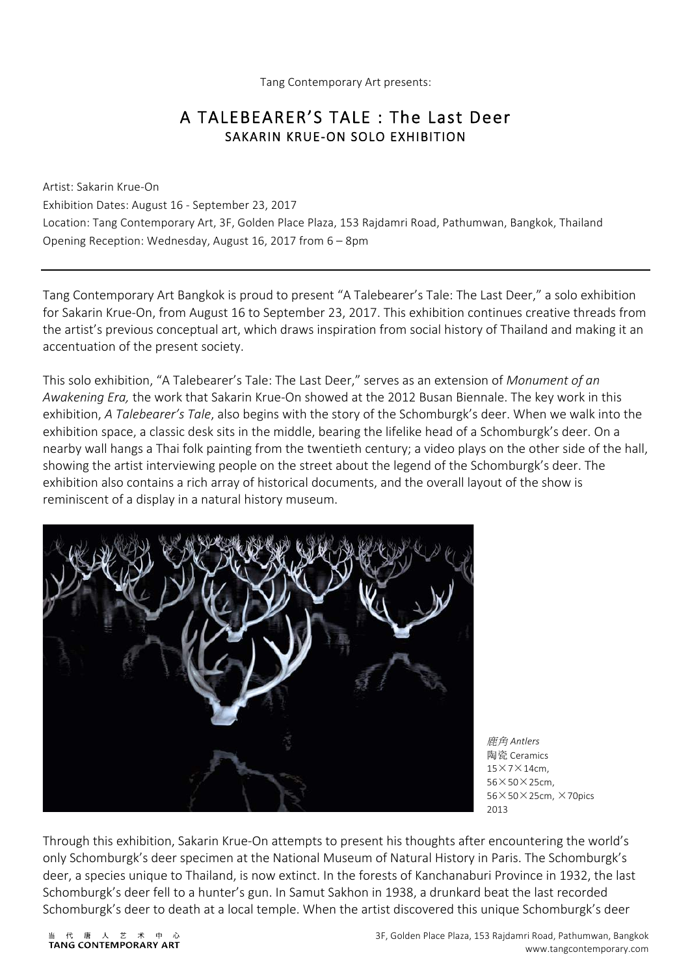Tang Contemporary Art presents:

# A TALEBEARER'S TALE : The Last Deer<br>SAKARIN KRUE-ON SOLO EXHIBITION

Artist: Sakarin Krue-On Exhibition Dates: August 16 - September 23, 2017 Location: Tang Contemporary Art, 3F, Golden Place Plaza, 153 Rajdamri Road, Pathumwan, Bangkok, Thailand Opening Reception: Wednesday, August 16, 2017 from 6 – 8pm

Tang Contemporary Art Bangkok is proud to present "A Talebearer's Tale: The Last Deer," a solo exhibition for Sakarin Krue-On, from August 16 to September 23, 2017. This exhibition continues creative threads from the artist's previous conceptual art, which draws inspiration from social history of Thailand and making it an accentuation of the present society.

This solo exhibition, "A Talebearer's Tale: The Last Deer," serves as an extension of *Monument of an Awakening Era,* the work that Sakarin Krue-On showed at the 2012 Busan Biennale. The key work in this exhibition, *A Talebearer's Tale*, also begins with the story of the Schomburgk's deer. When we walk into the exhibition space, a classic desk sits in the middle, bearing the lifelike head of a Schomburgk's deer. On a nearby wall hangs a Thai folk painting from the twentieth century; a video plays on the other side of the hall, showing the artist interviewing people on the street about the legend of the Schomburgk's deer. The exhibition also contains a rich array of historical documents, and the overall layout of the show is reminiscent of a display in a natural history museum.



鹿角 *Antlers* 陶瓷 Ceramics 15×7×14cm, 56×50×25cm,  $56\times50\times25$ cm,  $\times$ 70pics  $2013$ 

Through this exhibition, Sakarin Krue-On attempts to present his thoughts after encountering the world's only Schomburgk's deer specimen at the National Museum of Natural History in Paris. The Schomburgk's deer, a species unique to Thailand, is now extinct. In the forests of Kanchanaburi Province in 1932, the last Schomburgk's deer fell to a hunter's gun. In Samut Sakhon in 1938, a drunkard beat the last recorded Schomburgk's deer to death at a local temple. When the artist discovered this unique Schomburgk's deer

代 唐  $\Rightarrow$  $\star$ TANG CONTEMPORARY ART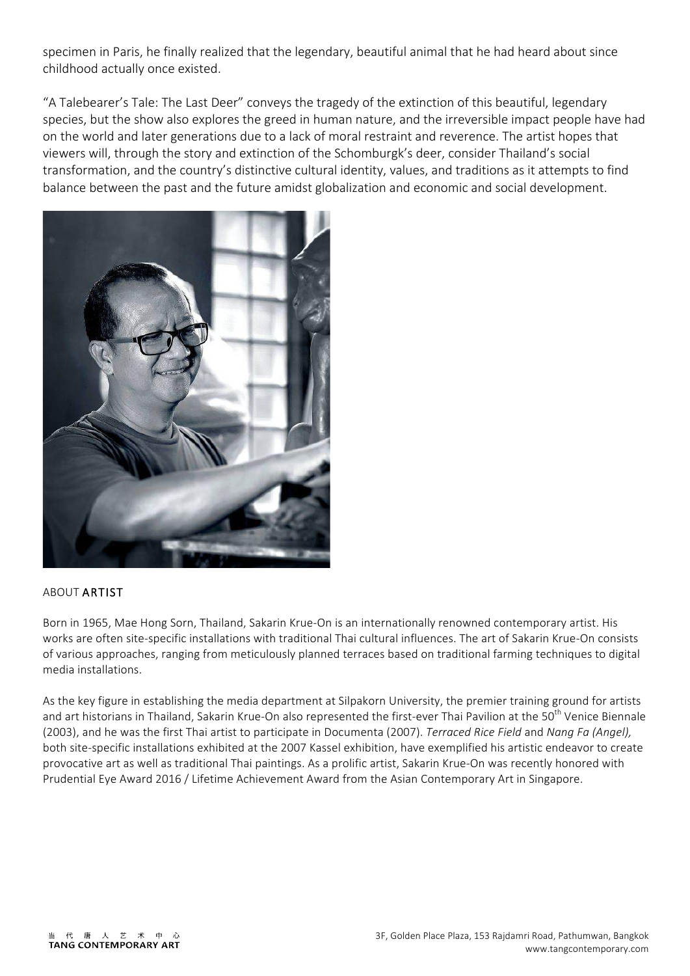specimen in Paris, he finally realized that the legendary, beautiful animal that he had heard about since childhood actually once existed.

"A Talebearer's Tale: The Last Deer" conveys the tragedy of the extinction of this beautiful, legendary species, but the show also explores the greed in human nature, and the irreversible impact people have had on the world and later generations due to a lack of moral restraint and reverence. The artist hopes that viewers will, through the story and extinction of the Schomburgk's deer, consider Thailand's social transformation, and the country's distinctive cultural identity, values, and traditions as it attempts to find balance between the past and the future amidst globalization and economic and social development.



### ABOUT ARTIST

Born in 1965, Mae Hong Sorn, Thailand, Sakarin Krue-On is an internationally renowned contemporary artist. His works are often site-specific installations with traditional Thai cultural influences. The art of Sakarin Krue-On consists of various approaches, ranging from meticulously planned terraces based on traditional farming techniques to digital media installations.

As the key figure in establishing the media department at Silpakorn University, the premier training ground for artists and art historians in Thailand, Sakarin Krue-On also represented the first-ever Thai Pavilion at the 50<sup>th</sup> Venice Biennale (2003), and he was the first Thai artist to participate in Documenta (2007). *Terraced Rice Field* and *Nang Fa (Angel),* both site-specific installations exhibited at the 2007 Kassel exhibition, have exemplified his artistic endeavor to create provocative art as well as traditional Thai paintings. As a prolific artist, Sakarin Krue-On was recently honored with Prudential Eye Award 2016 / Lifetime Achievement Award from the Asian Contemporary Art in Singapore.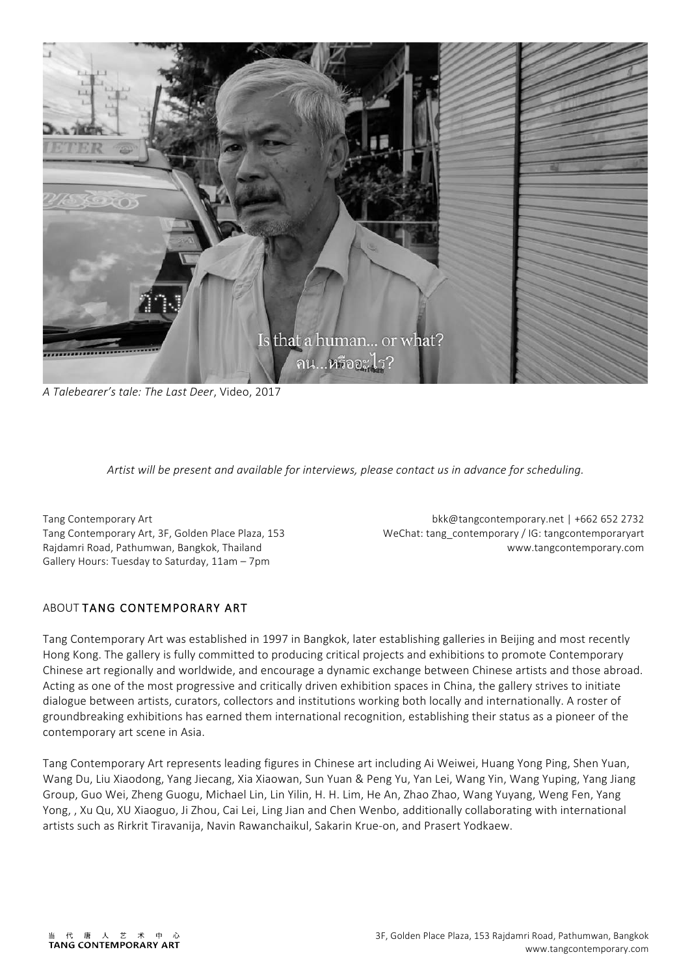

*A Talebearer's tale: The Last Deer*, Video, 2017

*Artist will be present and available for interviews, please contact us in advance for scheduling.*

Tang Contemporary Art Tang Contemporary Art, 3F, Golden Place Plaza, 153 Rajdamri Road, Pathumwan, Bangkok, Thailand Gallery Hours: Tuesday to Saturday, 11am – 7pm

bkk@tangcontemporary.net | +662 652 2732 WeChat: tang\_contemporary / IG: tangcontemporaryart www.tangcontemporary.com

### ABOUT TANG CONTEMPORARY ART

Tang Contemporary Art was established in 1997 in Bangkok, later establishing galleries in Beijing and most recently Hong Kong. The gallery is fully committed to producing critical projects and exhibitions to promote Contemporary Chinese art regionally and worldwide, and encourage a dynamic exchange between Chinese artists and those abroad. Acting as one of the most progressive and critically driven exhibition spaces in China, the gallery strives to initiate dialogue between artists, curators, collectors and institutions working both locally and internationally. A roster of groundbreaking exhibitions has earned them international recognition, establishing their status as a pioneer of the contemporary art scene in Asia.

Tang Contemporary Art represents leading figures in Chinese art including Ai Weiwei, Huang Yong Ping, Shen Yuan, Wang Du, Liu Xiaodong, Yang Jiecang, Xia Xiaowan, Sun Yuan & Peng Yu, Yan Lei, Wang Yin, Wang Yuping, Yang Jiang Group, Guo Wei, Zheng Guogu, Michael Lin, Lin Yilin, H. H. Lim, He An, Zhao Zhao, Wang Yuyang, Weng Fen, Yang Yong, , Xu Qu, XU Xiaoguo, Ji Zhou, Cai Lei, Ling Jian and Chen Wenbo, additionally collaborating with international artists such as Rirkrit Tiravanija, Navin Rawanchaikul, Sakarin Krue-on, and Prasert Yodkaew.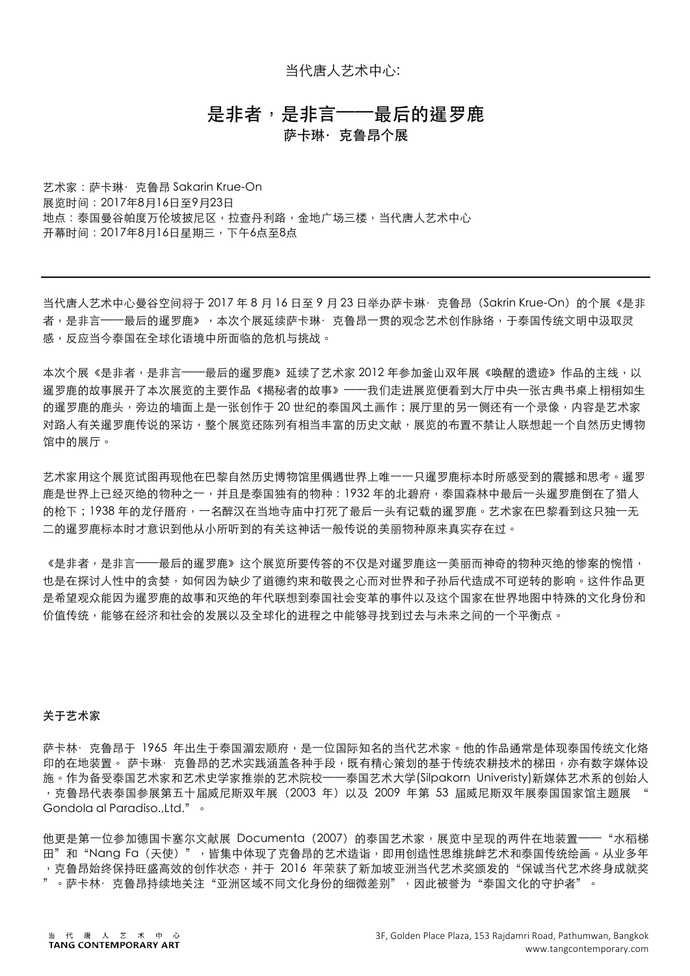当代唐人艺术中心:

## 是非者,是非言——最后的暹罗鹿 萨卡琳·克鲁昂个展

艺术家:萨卡琳·克鲁昂 Sakarin Krue-On 展览时间: 2017年8月16日至9月23日 地点:泰国曼谷帕度万伦坡披尼区,拉杳丹利路,金地广场三楼,当代唐人艺术中心 开幕时间: 2017年8月16日星期三, 下午6点至8点

当代唐人艺术中心曼谷空间将于 2017 年 8 月 16 日至 9 月 23 日举办萨卡琳· 克鲁昂 (Sakrin Krue-On) 的个展《是非 者,是非言──最后的暹罗鹿》,本次个展延续萨卡琳·克鲁昂一贯的观念艺术创作脉络,于泰国传统文明中汲取灵 感,反应当今泰国在全球化语境中所⾯临的危机与挑战。

本次个展《是非者,是非言——最后的暹罗鹿》延续了艺术家 2012 年参加釜山双年展《唤醒的遗迹》作品的主线,以 暹罗鹿的故事展开了本次展览的主要作品《揭秘者的故事》——我们走进展览便看到大厅中央一张古典书桌上栩栩如生 的暹罗鹿的鹿头,旁边的墙面上是一张创作于 20 世纪的泰国风土画作;展厅里的另一侧还有一个录像,内容是艺术家 对路人有关暹罗鹿传说的采访,整个展览还陈列有相当丰富的历史文献,展览的布置不禁让人联想起一个自然历史博物 馆中的展厅。

艺术家用这个展览试图再现他在巴黎自然历史博物馆里偶遇世界上唯一一只暹罗鹿标本时所感受到的震撼和思考。暹罗 鹿是世界上已经灭绝的物种之一,并且是泰国独有的物种: 1932 年的北碧府,泰国森林中最后一头暹罗鹿倒在了猎人 的枪下; 1938 年的龙仔厝府,一名醉汉在当地寺庙中打死了最后一头有记载的暹罗鹿。艺术家在巴黎看到这只独一无 二的暹罗鹿标本时才意识到他从小所听到的有关这神话一般传说的美丽物种原来真实存在过。

《是非者,是非言──最后的暹罗鹿》这个展览所要传答的不仅是对暹罗鹿这一美丽而神奇的物种灭绝的惨案的惋惜, 也是在探讨人性中的贪婪,如何因为缺少了道德约束和敬畏之心而对世界和子孙后代造成不可逆转的影响。这件作品更 是希望观众能因为暹罗鹿的故事和灭绝的年代联想到泰国社会变革的事件以及这个国家在世界地图中特殊的文化身份和 价值传统,能够在经济和社会的发展以及全球化的进程之中能够寻找到过去与未来之间的一个平衡点。

#### 关于艺术家

萨卡林· 克鲁昂于 1965 年出生于泰国湄宏顺府,是一位国际知名的当代艺术家。他的作品通常是体现泰国传统文化烙 印的在地装置。 萨卡琳· 克鲁昂的艺术实践涵盖各种手段,既有精心策划的基于传统农耕技术的梯田,亦有数字媒体设 施。作为备受泰国艺术家和艺术史学家推崇的艺术院校——泰国艺术大学(Silpakorn Univeristy)新媒体艺术系的创始人 ,克鲁昂代表泰国参展第五十届威尼斯双年展(2003 年)以及 2009 年第 53 届威尼斯双年展泰国国家馆主题展 " Gondola al Paradiso.,Ltd."。

他更是第一位参加德国卡塞尔文献展 Documenta (2007) 的泰国艺术家,展览中呈现的两件在地装置——"水稻梯 田"和"Nang Fa (天使)", 皆集中体现了克鲁昂的艺术造诣,即用创造性思维挑衅艺术和泰国传统绘画。从业多年 ,克鲁昂始终保持旺盛高效的创作状态,并于 2016 年荣获了新加坡亚洲当代艺术奖颁发的"保诚当代艺术终身成就奖 。萨卡林·克鲁昂持续地关注"亚洲区域不同文化身份的细微差别",因此被誉为"泰国文化的守护者"。